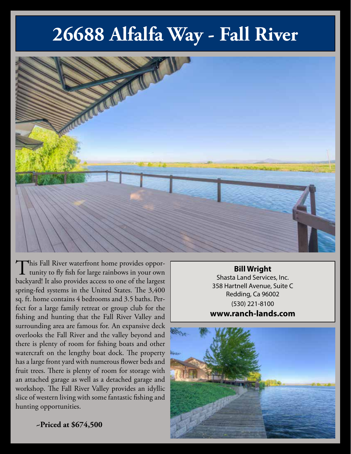## **26688 Alfalfa Way - Fall River**



This Fall River waterfront home provides oppor-<br>tunity to fly fish for large rainbows in your own backyard! It also provides access to one of the largest spring-fed systems in the United States. The 3,400 sq. ft. home contains 4 bedrooms and 3.5 baths. Perfect for a large family retreat or group club for the fishing and hunting that the Fall River Valley and surrounding area are famous for. An expansive deck overlooks the Fall River and the valley beyond and there is plenty of room for fishing boats and other watercraft on the lengthy boat dock. The property has a large front yard with numerous flower beds and fruit trees. There is plenty of room for storage with an attached garage as well as a detached garage and workshop. The Fall River Valley provides an idyllic slice of western living with some fantastic fishing and hunting opportunities.

**Bill Wright** Shasta Land Services, Inc. 358 Hartnell Avenue, Suite C Redding, Ca 96002 (530) 221-8100 **www.ranch-lands.com**



**~Priced at \$674,500**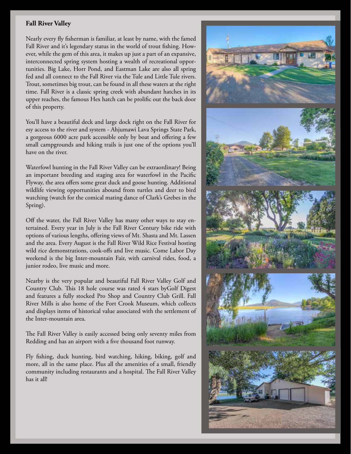## **Fall River Valley**

Nearly every fly fisherman is familiar, at least by name, with the famed Fall River and it's legendary status in the world of trout fishing. However, while the gem of this area, it makes up just a part of an expansive, interconnected spring system hosting a wealth of recreational opportunities. Big Lake, Horr Pond, and Eastman Lake are also all spring fed and all connect to the Fall River via the Tule and Little Tule rivers. Trout, sometimes big trout, can be found in all these waters at the right time. Fall River is a classic spring creek with abundant hatches in its upper reaches, the famous Hex hatch can be prolific out the back door of this property.

You'll have a beautiful deck and large dock right on the Fall River for esy access to the river and system - Ahjumawi Lava Springs State Park, a gorgeous 6000 acre park accessible only by boat and offering a few small campgrounds and hiking trails is just one of the options you'll have on the river.

Waterfowl hunting in the Fall River Valley can be extraordinary! Being an important breeding and staging area for waterfowl in the Pacific Flyway, the area offers some great duck and goose hunting. Additional wildlife viewing opportunities abound from turtles and deer to bird watching (watch for the comical mating dance of Clark's Grebes in the Spring).

Off the water, the Fall River Valley has many other ways to stay entertained. Every year in July is the Fall River Century bike ride with options of various lengths, offering views of Mt. Shasta and Mt. Lassen and the area. Every August is the Fall River Wild Rice Festival hosting wild rice demonstrations, cook-offs and live music. Come Labor Day weekend is the big Inter-mountain Fair, with carnival rides, food, a junior rodeo, live music and more.

Nearby is the very popular and beautiful Fall River Valley Golf and Country Club. This 18 hole course was rated 4 stars byGolf Digest and features a fully stocked Pro Shop and Country Club Grill. Fall River Mills is also home of the Fort Crook Museum, which collects and displays items of historical value associated with the settlement of the Inter-mountain area.

The Fall River Valley is easily accessed being only seventy miles from Redding and has an airport with a five thousand foot runway.

Fly fishing, duck hunting, bird watching, hiking, biking, golf and more, all in the same place. Plus all the amenities of a small, friendly community including restaurants and a hospital. The Fall River Valley has it all!

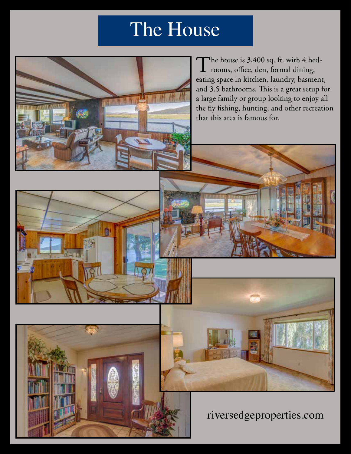## The House

The house is  $3,400$  sq. ft. with 4 bedrooms, office, den, formal dining, eating space in kitchen, laundry, basment, and 3.5 bathrooms. This is a great setup for a large family or group looking to enjoy all the fly fishing, hunting, and other recreation that this area is famous for.